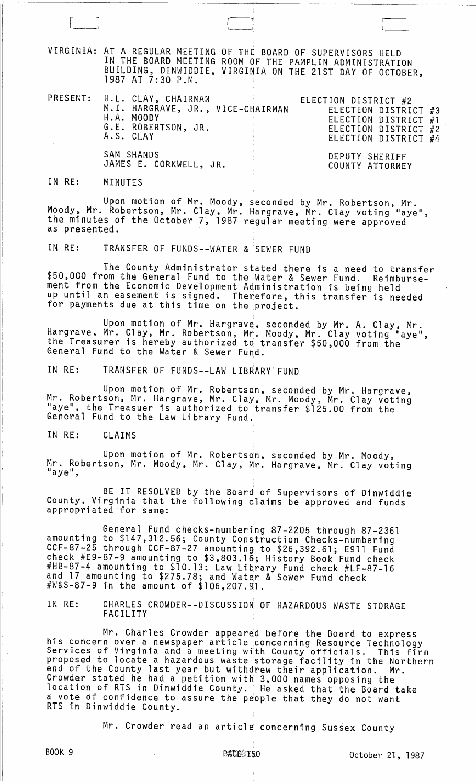VIRGINIA: AT A REGULAR MEETING OF THE BOARD OF SUPERVISORS HELD IN THE BOARD MEETING ROOM OF THE PAMPLIN ADMINISTRATION BUILDING, DINWIDDIE, VIRGINIA ON THE 21ST DAY OF OCTOBER,<br>1987 AT 7:30 P.M.

PRESENT:

| : H.L. CLAY, CHAIRMAN<br>M.I. HARGRAVE, JR., VICE-CHAIRMAN<br>H.A. MOODY<br>G.E. ROBERTSON, JR.<br>A.S. CLAY | the control of the state of the | ELECTION DISTRICT #2<br>ELECTION DISTRICT #3<br>ELECTION DISTRICT #1<br>ELECTION DISTRICT #2<br>ELECTION DISTRICT #4 |  |
|--------------------------------------------------------------------------------------------------------------|---------------------------------|----------------------------------------------------------------------------------------------------------------------|--|
| SAM SHANDS<br>JAMES E. CORNWELL, JR.                                                                         |                                 | DEPUTY SHERIFF<br>COUNTY ATTORNEY                                                                                    |  |

## IN RE: MINUTES

Upon motion of Mr. Moody, seconded by Mr. Robertson, Mr. Moody, Mr. Robertson, Mr. Clay, Mr. Hargrave, Mr. Clay voting "aye", the minutes of the October 7, 1987 regular meeting were approved as presented.

IN RE: TRANSFER OF FUNDS--WATER & SEWER FUND

 $\begin{bmatrix} 1 & 1 \\ 1 & 1 \end{bmatrix}$ 

The County Administrator stated there is a need to transfer \$50,000 from the General Fund to the Water & Sewer Fund. Reimbursement from the Economic Development Administration is being held up until an easement is signed. Therefore, this transfer is needed for payments due at this time on the project.

Upon motion of Mr. Hargrave, seconded by Mr. A. Clay, Mr. Hargrave, Mr. Clay, Mr. Robertson, Mr. Moody, Mr. Clay voting "aye", the Treasurer is hereby authorized to transfer \$50,000 from the General Fund to the Water & Sewer Fund.

IN RE: TRANSFER OF FUNDS--LAW LIBRARY FUND

Upon motion of Mr. Robertson, seconded by Mr. Hargrave,<br>Mr. Robertson, Mr. Hargrave, Mr. Clay, Mr. Moody, Mr. Clay voting<br>"aye", the Treasuer is authorized to transfer \$125.00 from the General Fund to the Law Library Fund.

IN RE: CLAIMS

Upon motion of Mr. Robertson, seconded by Mr. Moody,<br>Mr. Robertson, Mr. Moody, Mr. Clay, Mr. Hargrave, Mr. Clay voting "aye",

, BE IT RESOLVED by the Board of Supervisors of Dinwiddie County, Virginia that the following claims be approved and funds appropriated for same:

General Fund checks-numbering 87-2205 through 87-2361 amounting to \$147,312.56; County Construction Checks-numbering<br>CCF-87-25 through CCF-87-27 amounting to \$26,392.61; E911 Fund check #E9-87-9 amounting to \$3,803.16; History Book Fund check #HB-87-4 amounting to \$10.13; Law Library Fund check #LF-87-16 and 17 amounting to \$275.78; and Water & Sewer Fund check #W&S-87-9 in the amount of \$106,207.91.

IN RE: CHARLES CROWDER--DISCUSSION OF HAZARDOUS WASTE STORAGE FACILITY

Mr. Charles Crowder appeared before the Board to express<br>his concern over a newspaper article concerning Resource Technology<br>Services of Virginia and a meeting with County officials. This firm proposed to locate a hazardous waste storage facility in the Northern end of the County last year but withdrew their application. Mr. Crowder stated he had a petition with 3,000 names opposing the location of RTS in Dinwiddie County. He asked that the Board take a vote of confidence to assure the people that they do not want RTS in Dinwiddie County.

Mr. Crowder read an article concerning Sussex County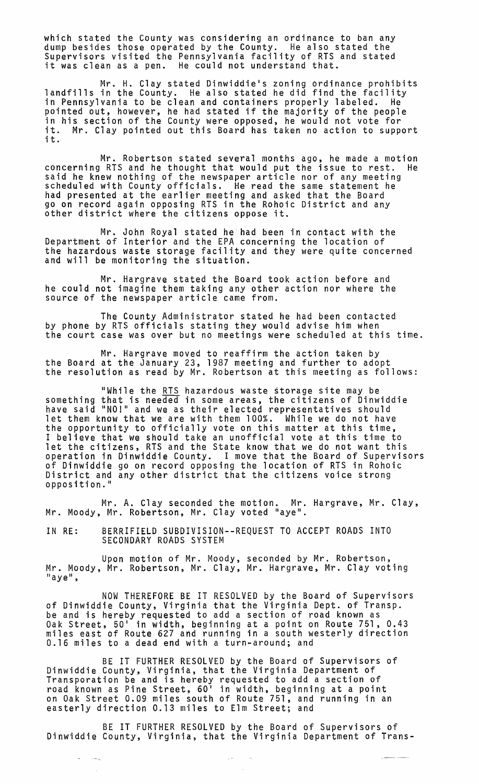which stated the County was considering an ordinance to ban any dump besides those operated by the County. He also stated the Supervisors visited the Pennsylvania facility of RTS and stated it was clean as a pen. He could not understand that.

Mr. H. Clay stated Dinwiddie's zoning ordinance prohibits landfills in the County. He also stated he did find the facility in Pennsylvania to be clean and containers properly labeled. He pointed out, however, he had stated if the majority of the people in his section of the County were opposed, he would not vote for in his section of the county were opposed, he would not vote for<br>it. Mr. Clay pointed out this Board has taken no action to support<br>it.

Mr. Robertson stated several months ago, he made a motion concerning RTS and he thought that would put the issue to rest. He said he knew nothing of the newspaper article nor of any meeting<br>scheduled with County officials. He read the same statement he had presented at the earlier meeting and asked that the Board go on record again opposing RTS in the Rohoic District and any other district where the citizens oppose it.

Mr. John Royal stated he had been in contact with the Department of Interior and the EPA concerning the location of the hazardous waste storage facility and they were quite concerned and will be monitoring the situation.

Mr. Hargrave stated the Board took action before and he could not imagine them taking any other action nor where the source of the newspaper article came from.

The County Administrator stated he had been contacted by phone by RTS officials stating they would advise him when the court case was over but no meetings were scheduled at this time.

Mr. Hargrave moved to reaffirm the action taken by<br>the Board at the January 23, 1987 meeting and further to adopt<br>the resolution as read by Mr. Robertson at this meeting as follows:

"While the <u>RTS</u> hazardous waste storage site may be something that is needed in some areas, the citizens of Dinwiddie have said "NO!" and we as their elected representatives should let them know that we are with them 100%. While we do not have the opportunity to officially vote on this matter at this time, I believe that we should take an unofficial vote at this time to let the citizens, RTS and the State know that we do not want this operation in Dinwiddie County. I move that the Board of Supervisors of Dinwiddie go on record opposing the location of RTS in Rohoic<br>District and any other district that the citizens voice strong<br>opposition."

Mr. A. Clay seconded the motion. Mr. Hargrave, Mr. Clay, Mr. Moody, Mr. Robertson, Mr. Clay voted "aye".

IN RE: BERRIFIELD SUBDIVISION--REQUEST TO ACCEPT ROADS INTO SECONDARY ROADS SYSTEM

Upon motion of Mr. Moody, seconded by Mr. Robertson, Mr. Moody, Mr. Robertson, Mr. Clay, Mr. Hargrave, Mr. Clay voting<br>"aye",

NOW THEREFORE BE IT RESOLVED by the Board of Supervisors of Dinwiddie County, Virginia that the Virginia Dept. of Transp. be and is hereby requested to add a section of road known as Oak Street, 50' in width, beginning at a point on Route 751, 0.43 miles east of Route 627 and running in a south westerly direction 0.16 miles to a dead end with a turn-around; and

BE IT FURTHER RESOLVED by the Board of Supervisors of Dinwiddie County, Virginia, that the Virginia Department of Transporation be and is hereby requested to add a section of road known as Pine Street, 60' in width, beginning at a point on Oak Street 0.09 miles south of Route 751, and running in an easterly direction 0.13 miles to Elm Street; and

BE IT FURTHER RESOLVED by the Board of Supervisors of Dinwiddie County, Virginia, that the Virginia Department of Trans-

.<br>Lindako erregea (h. 1900).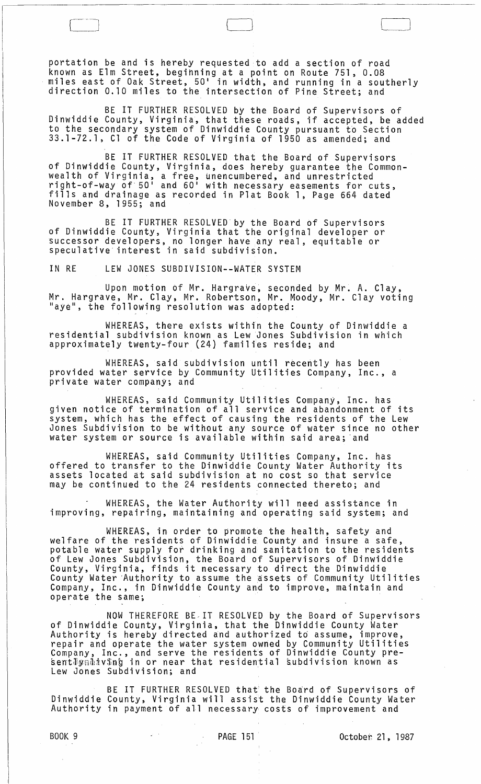portation be and is hereby requested to add a section of road known as Elm Street, begihning at a point on Route 751, 0.08 miles east of Oak Street, 50' in width, and running in a southerly<br>direction 0.10 miles to the intersection of Pine Street; and

BE IT FURTHER RESOLVED bY the Board of Supervisors of Dinwiddie County, Virginia, that these roads, if accepted, be added to the secondary system of Dinwiddie County pursuant to Section 33.1-72.1, Cl of the Code of Virginia of 1950 as amended; and

BE IT FURTHER RESOLVED that the Board of Supervisors of Dinwiddie County, Virginia, does hereby guarantee the Commonwealth of Virginia, a free, unencumbered, and unrestricted right-of-way of 50  $^{\prime}$  and 60  $^{\prime}$  with necessary easements for cuts, fills and drainage as recorded in Plat Book 1, Page 664 dated November 8, 1955; and

BE IT FURTHER RESOLVED by the Board of Supervisors of Dinwiddie County, Virginia that the original developer or successor developers, no longer have any real, equitable or speculative interest in said subdivision.

IN RE LEW JONES SUBDIVISION--WATER SYSTEM

Upon motion of Mr. Hargrave, seconded by Mr. A. Clay, Mr. Hargrave, Mr. Clay, Mr. Robertson, Mr. Moody, Mr. Clay voting "aye", the following resolution was adopted:

WHEREAS, there exists within the County of Dinwiddie a residential subdivision known as Lew Jones Subdivision in which approximately twenty-four (24) families reside; and

WHEREAS, said subdivision until recently has been provided water service by Community Utilities Company, Inc., a private water company; and

WHEREAS, said Community Utilities Company, Inc. has given notice of termination of all service and abandonment of its system, which has the effect of causing the residents of the Lew Jones Subdivision to be without any source of water since no other water system or source is available within said area; 'and

WHEREAS, said Community Utilities Company, Inc. has offered to transfer to the Dinwiddie County Water Authority its assets located at said subdivision at no cost so that service may be continued to the 24 residents connected thereto; and

WHEREAS, the Water Authority will need assistance in improving, repairing, maintaining and operating said system; and

WHEREAS, in order to promote the health, safety and welfare of the residents of Dinwiddie. County and insure a safe, potable water supply for drinking and sanitation to the residents of Lew Jones Subdivision, the Board of Supervisors of Dinwiddie County, Virginia, finds it necessary to direct the Dinwiddie county, international contracts are considered the community Utilities Company, Inc., in Dinwiddie County and to improve, maintain and operate the same;

NOW THEREFORE BE.IT RESOLVED by the Board of Supervisors of Dinwiddie County, Virginia, that the Dinwiddie County Water Authority is hereby directed and authorized td assume, improve, repair and operate the water system owned by Community Utilities Company, Inc., and serve the residents of Dinwiddie County pre- ~ent~J~~fv\$nb in or near that residential kubdivision known as Lew Jones Subdivision; and

BE IT FURTHER RESOLVED that the Board of Supervisors of Dinwiddie County, Virginia will assist the Dinwiddie County Water Authority in payment of all necessary costs of improvement and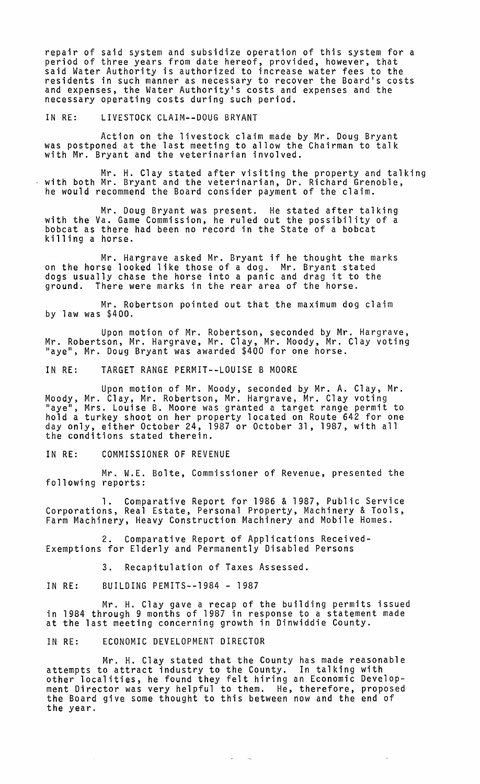repair of said system and subsidize operation of this system for a period of three years from date hereof, provided, however, that said Water Authority is authorized to increase water fees to the residents in such manner as necessary to recover the Board's costs and expenses, the Water Authority's costs and expenses and the necessary operating costs during such period.

IN RE: LIVESTOCK CLAIM--DOUG BRYANT

Action on the livestock claim made by Mr. Doug Bryant was postponed at the last meeting to allow the Chairman to talk with Mr. Bryant and the veterinarian involved.

Mr. H. Clay stated after visiting the property and talking with both Mr. Bryant and the veterinarian, Dr. Richard Grenoble, he would recommend the Board consider payment of the claim.

Mr. Doug Bryant was present. He stated after talking with the Va. Game Commission, he ruled out the possibility of a bobcat as there had been no record in the State of a bobcat killing a horse.

Mr. Hargrave asked Mr. Bryant if he thought the marks on the horse looked like those of a dog. Mr. Bryant stated on the horse rooked rike those or a dog. Mr. Bryant stated<br>dogs usually chase the horse into a panic and drag it to the ground. There were marks in the rear area of the horse.

Mr. Robertson pointed out that the maximum dog claim by law was \$400.

Upon motion of Mr. Robertson, seconded by Mr. Hargrave, Mr. Robertson, Mr. Hargrave, Mr. Clay, Mr. Moody, Mr. Clay voting "aye", Mr. Doug Bryant was awarded \$400 for one horse.

IN RE: TARGET RANGE PERMIT--LOUISE B MOORE

Upon motion of Mr. Moody, seconded by Mr. A. Clay, Mr. Moody, Mr. Clay, Mr. Robertson, Mr. Hargrave, Mr. Clay voting<br>"aye", Mrs. Louise B. Moore was granted a target range permit to hold a turkey shoot on her property located on Route 642 for one day only, either October 24, 1987 or October 31, 1987, with all the conditions stated therein.

IN RE: COMMISSIONER OF REVENUE

Mr. W.E. Bolte, Commissioner of Revenue, presented the following reports:

1. Comparative Report for 1986 & 1987, Public Service Corporations, Real Estate, Personal Property, Machinery & Tools, Farm Machinery, Heavy Construction Machinery and Mobile Homes.

2. Comparative Report of Applications Received-Exemptions for Elderly and Permanently Disabled Persons

3. Recapitulation of Taxes Assessed.

IN RE: BUILDING PEMITS--1984 - 1987

Mr. H. Clay gave a recap of the building permits issued in 1984 through 9 months of 1987 in response to a statement made at the last meeting concerning growth in Dinwiddie County.

IN RE: ECONOMIC DEVELOPMENT DIRECTOR

Mr. H. Clay stated that the County has made reasonable attempts to attract industry to the County. In talking with other localities, he found they felt hiring an Economic Development Director was very helpful to them. He, therefore, proposed<br>the Board give some thought to this between now and the end of the year.

للقدار المتعار

 $\omega$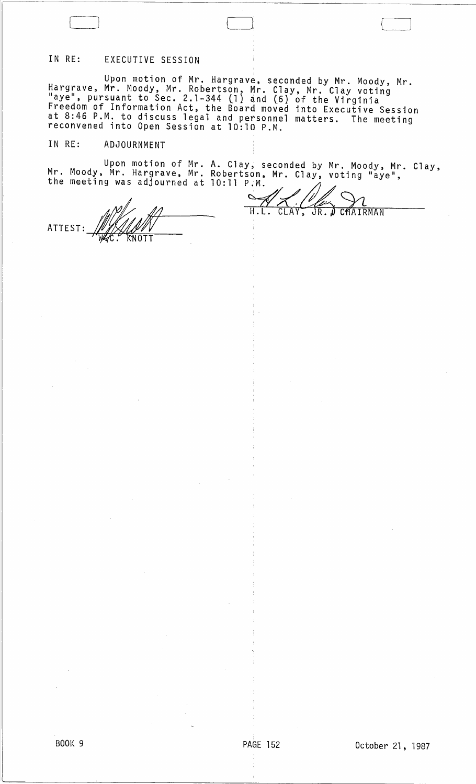## IN RE: EXECUTIVE SESSION

Upon motion of Mr. Hargrave, seconded by Mr. Moody, Mr. Hargrave, Mr. Moody, Mr. Robertson, Mr. Clay, Mr. Clay voting "aye", pursuant to Sec. 2.1-344 (l) and (6) of the Virginia Freedom of Information Act, the Board moved into Executive Session at 8:46 P.M. to discuss legal and personnel matters. The meeting<br>reconvened into Open Session at 10:10 P.M.

## IN RE: ADJOURNMENT

Upon motion of Mr. Mr. Moody, Mr. Hargrave, Mr. the meeting was adjourned at A. Clay, seconded by Mr. Moody, Mr. Robertson, Mr. Clay, voting "aye", Clay,

WHAT H.L. CLAY, JR. J CHAIRMAN ATTEST: WALLET

10:11 P.M.